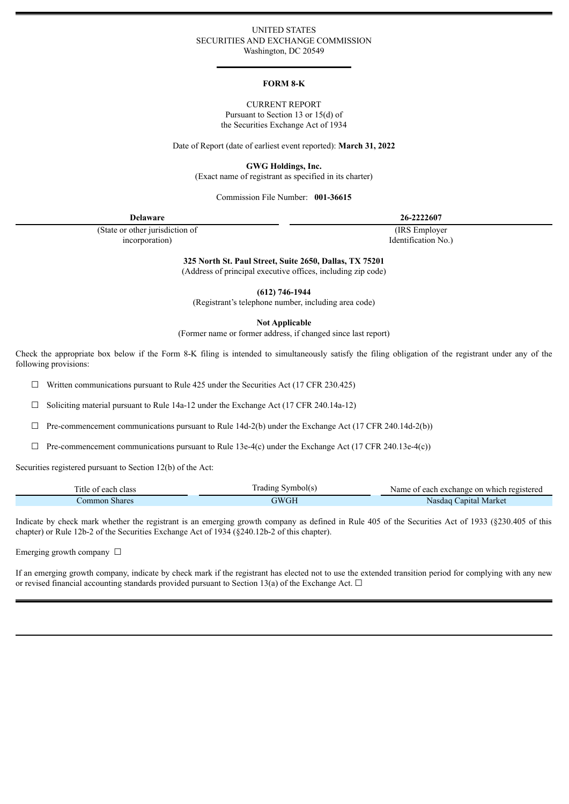### UNITED STATES SECURITIES AND EXCHANGE COMMISSION Washington, DC 20549

#### **FORM 8-K**

### CURRENT REPORT Pursuant to Section 13 or 15(d) of the Securities Exchange Act of 1934

Date of Report (date of earliest event reported): **March 31, 2022**

**GWG Holdings, Inc.**

(Exact name of registrant as specified in its charter)

### Commission File Number: **001-36615**

**Delaware 26-2222607**

(State or other jurisdiction of incorporation)

(IRS Employer

Identification No.)

**325 North St. Paul Street, Suite 2650, Dallas, TX 75201**

(Address of principal executive offices, including zip code)

**(612) 746-1944**

(Registrant's telephone number, including area code)

**Not Applicable**

(Former name or former address, if changed since last report)

Check the appropriate box below if the Form 8-K filing is intended to simultaneously satisfy the filing obligation of the registrant under any of the following provisions:

 $\Box$  Written communications pursuant to Rule 425 under the Securities Act (17 CFR 230.425)

 $\Box$  Soliciting material pursuant to Rule 14a-12 under the Exchange Act (17 CFR 240.14a-12)

 $\Box$  Pre-commencement communications pursuant to Rule 14d-2(b) under the Exchange Act (17 CFR 240.14d-2(b))

 $\Box$  Pre-commencement communications pursuant to Rule 13e-4(c) under the Exchange Act (17 CFR 240.13e-4(c))

Securities registered pursuant to Section 12(b) of the Act:

| $-1$<br>class<br>litle of<br>each | radıng<br>' Symbol(s | each exchange on which registered<br>Name<br>- 01 |
|-----------------------------------|----------------------|---------------------------------------------------|
| Common Shares                     | 7WGH<br>vUI.         | Capital Market<br>Nasdac                          |

Indicate by check mark whether the registrant is an emerging growth company as defined in Rule 405 of the Securities Act of 1933 (§230.405 of this chapter) or Rule 12b-2 of the Securities Exchange Act of 1934 (§240.12b-2 of this chapter).

Emerging growth company  $\Box$ 

**The Second** 

If an emerging growth company, indicate by check mark if the registrant has elected not to use the extended transition period for complying with any new or revised financial accounting standards provided pursuant to Section 13(a) of the Exchange Act.  $\Box$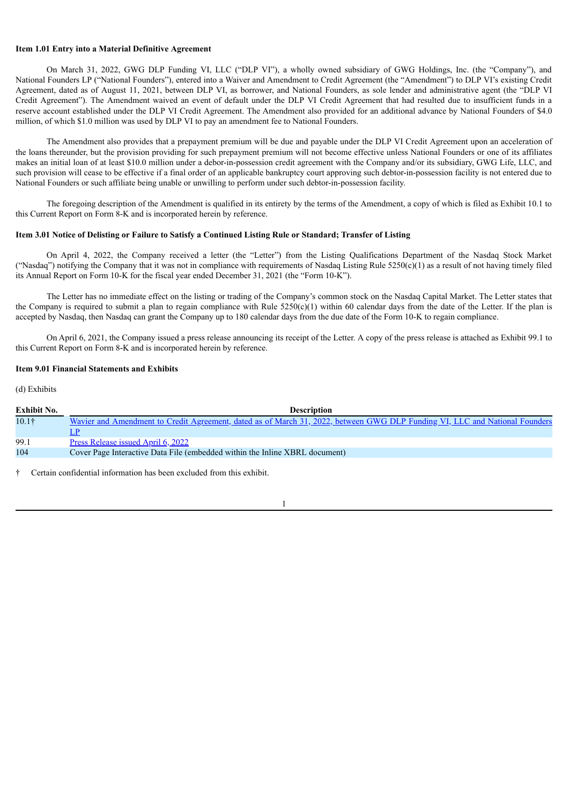### **Item 1.01 Entry into a Material Definitive Agreement**

On March 31, 2022, GWG DLP Funding VI, LLC ("DLP VI"), a wholly owned subsidiary of GWG Holdings, Inc. (the "Company"), and National Founders LP ("National Founders"), entered into a Waiver and Amendment to Credit Agreement (the "Amendment") to DLP VI's existing Credit Agreement, dated as of August 11, 2021, between DLP VI, as borrower, and National Founders, as sole lender and administrative agent (the "DLP VI Credit Agreement"). The Amendment waived an event of default under the DLP VI Credit Agreement that had resulted due to insufficient funds in a reserve account established under the DLP VI Credit Agreement. The Amendment also provided for an additional advance by National Founders of \$4.0 million, of which \$1.0 million was used by DLP VI to pay an amendment fee to National Founders.

The Amendment also provides that a prepayment premium will be due and payable under the DLP VI Credit Agreement upon an acceleration of the loans thereunder, but the provision providing for such prepayment premium will not become effective unless National Founders or one of its affiliates makes an initial loan of at least \$10.0 million under a debor-in-possession credit agreement with the Company and/or its subsidiary, GWG Life, LLC, and such provision will cease to be effective if a final order of an applicable bankruptcy court approving such debtor-in-possession facility is not entered due to National Founders or such affiliate being unable or unwilling to perform under such debtor-in-possession facility.

The foregoing description of the Amendment is qualified in its entirety by the terms of the Amendment, a copy of which is filed as Exhibit 10.1 to this Current Report on Form 8-K and is incorporated herein by reference.

### Item 3.01 Notice of Delisting or Failure to Satisfy a Continued Listing Rule or Standard; Transfer of Listing

On April 4, 2022, the Company received a letter (the "Letter") from the Listing Qualifications Department of the Nasdaq Stock Market ("Nasdaq") notifying the Company that it was not in compliance with requirements of Nasdaq Listing Rule 5250(c)(1) as a result of not having timely filed its Annual Report on Form 10-K for the fiscal year ended December 31, 2021 (the "Form 10-K").

The Letter has no immediate effect on the listing or trading of the Company's common stock on the Nasdaq Capital Market. The Letter states that the Company is required to submit a plan to regain compliance with Rule  $5250(c)(1)$  within 60 calendar days from the date of the Letter. If the plan is accepted by Nasdaq, then Nasdaq can grant the Company up to 180 calendar days from the due date of the Form 10-K to regain compliance.

On April 6, 2021, the Company issued a press release announcing its receipt of the Letter. A copy of the press release is attached as Exhibit 99.1 to this Current Report on Form 8-K and is incorporated herein by reference.

#### **Item 9.01 Financial Statements and Exhibits**

#### (d) Exhibits

| <b>Exhibit No.</b> | <b>Description</b>                                                                                                          |
|--------------------|-----------------------------------------------------------------------------------------------------------------------------|
| 10.1 <sup>†</sup>  | Wavier and Amendment to Credit Agreement, dated as of March 31, 2022, between GWG DLP Funding VI, LLC and National Founders |
|                    |                                                                                                                             |
| 99.1               | Press Release issued April 6, 2022                                                                                          |
| 104                | Cover Page Interactive Data File (embedded within the Inline XBRL document)                                                 |

† Certain confidential information has been excluded from this exhibit.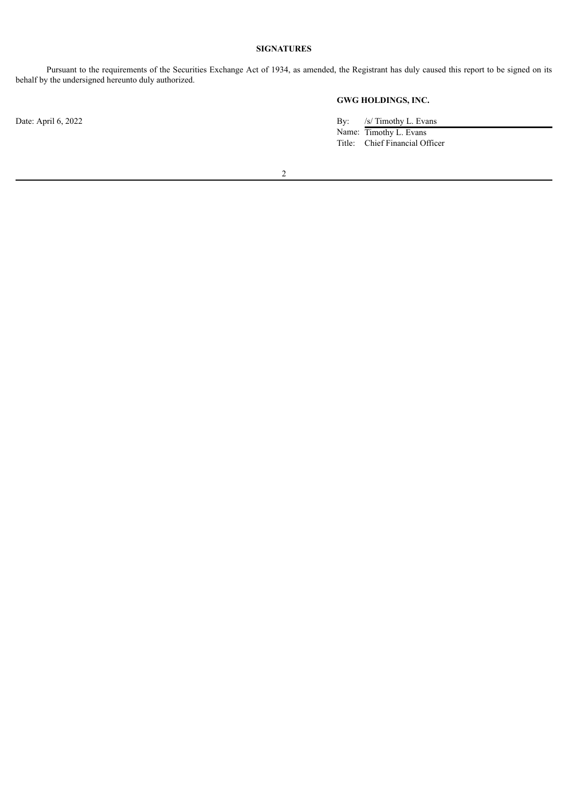# **SIGNATURES**

Pursuant to the requirements of the Securities Exchange Act of 1934, as amended, the Registrant has duly caused this report to be signed on its behalf by the undersigned hereunto duly authorized.

**GWG HOLDINGS, INC.**

Date: April 6, 2022 By: /s/ Timothy L. Evans Name: Timothy L. Evans Title: Chief Financial Officer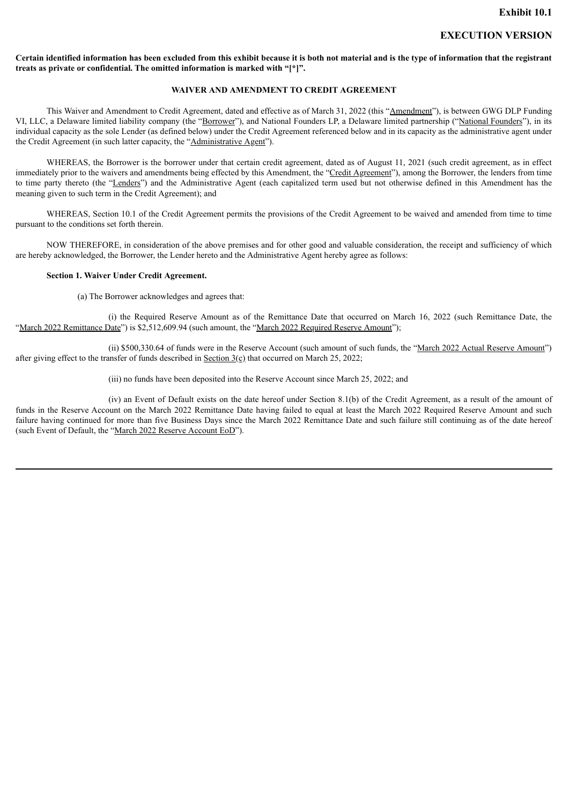# **EXECUTION VERSION**

<span id="page-3-0"></span>Certain identified information has been excluded from this exhibit because it is both not material and is the type of information that the registrant **treats as private or confidential. The omitted information is marked with "[\*]".**

## **WAIVER AND AMENDMENT TO CREDIT AGREEMENT**

This Waiver and Amendment to Credit Agreement, dated and effective as of March 31, 2022 (this "Amendment"), is between GWG DLP Funding VI, LLC, a Delaware limited liability company (the "Borrower"), and National Founders LP, a Delaware limited partnership ("National Founders"), in its individual capacity as the sole Lender (as defined below) under the Credit Agreement referenced below and in its capacity as the administrative agent under the Credit Agreement (in such latter capacity, the "Administrative Agent").

WHEREAS, the Borrower is the borrower under that certain credit agreement, dated as of August 11, 2021 (such credit agreement, as in effect immediately prior to the waivers and amendments being effected by this Amendment, the "Credit Agreement"), among the Borrower, the lenders from time to time party thereto (the "Lenders") and the Administrative Agent (each capitalized term used but not otherwise defined in this Amendment has the meaning given to such term in the Credit Agreement); and

WHEREAS, Section 10.1 of the Credit Agreement permits the provisions of the Credit Agreement to be waived and amended from time to time pursuant to the conditions set forth therein.

NOW THEREFORE, in consideration of the above premises and for other good and valuable consideration, the receipt and sufficiency of which are hereby acknowledged, the Borrower, the Lender hereto and the Administrative Agent hereby agree as follows:

#### **Section 1. Waiver Under Credit Agreement.**

(a) The Borrower acknowledges and agrees that:

(i) the Required Reserve Amount as of the Remittance Date that occurred on March 16, 2022 (such Remittance Date, the "March 2022 Remittance Date") is \$2,512,609.94 (such amount, the "March 2022 Required Reserve Amount");

(ii) \$500,330.64 of funds were in the Reserve Account (such amount of such funds, the "March 2022 Actual Reserve Amount") after giving effect to the transfer of funds described in Section  $3(\rho)$  that occurred on March 25, 2022;

(iii) no funds have been deposited into the Reserve Account since March 25, 2022; and

(iv) an Event of Default exists on the date hereof under Section 8.1(b) of the Credit Agreement, as a result of the amount of funds in the Reserve Account on the March 2022 Remittance Date having failed to equal at least the March 2022 Required Reserve Amount and such failure having continued for more than five Business Days since the March 2022 Remittance Date and such failure still continuing as of the date hereof (such Event of Default, the "March 2022 Reserve Account EoD").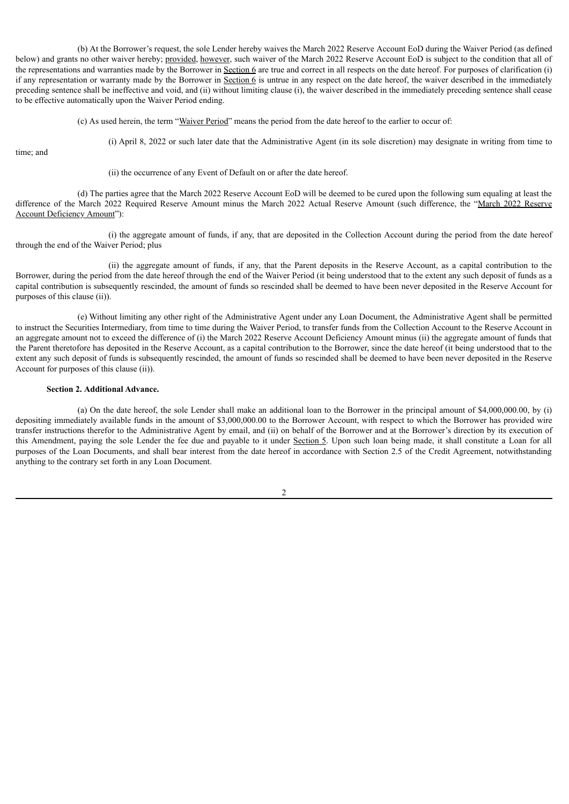(b) At the Borrower's request, the sole Lender hereby waives the March 2022 Reserve Account EoD during the Waiver Period (as defined below) and grants no other waiver hereby; provided, however, such waiver of the March 2022 Reserve Account EoD is subject to the condition that all of the representations and warranties made by the Borrower in Section 6 are true and correct in all respects on the date hereof. For purposes of clarification (i) if any representation or warranty made by the Borrower in Section 6 is untrue in any respect on the date hereof, the waiver described in the immediately preceding sentence shall be ineffective and void, and (ii) without limiting clause (i), the waiver described in the immediately preceding sentence shall cease to be effective automatically upon the Waiver Period ending.

(c) As used herein, the term "Waiver Period" means the period from the date hereof to the earlier to occur of:

(i) April 8, 2022 or such later date that the Administrative Agent (in its sole discretion) may designate in writing from time to

time; and

(ii) the occurrence of any Event of Default on or after the date hereof.

(d) The parties agree that the March 2022 Reserve Account EoD will be deemed to be cured upon the following sum equaling at least the difference of the March 2022 Required Reserve Amount minus the March 2022 Actual Reserve Amount (such difference, the "March 2022 Reserve Account Deficiency Amount"):

(i) the aggregate amount of funds, if any, that are deposited in the Collection Account during the period from the date hereof through the end of the Waiver Period; plus

(ii) the aggregate amount of funds, if any, that the Parent deposits in the Reserve Account, as a capital contribution to the Borrower, during the period from the date hereof through the end of the Waiver Period (it being understood that to the extent any such deposit of funds as a capital contribution is subsequently rescinded, the amount of funds so rescinded shall be deemed to have been never deposited in the Reserve Account for purposes of this clause (ii)).

(e) Without limiting any other right of the Administrative Agent under any Loan Document, the Administrative Agent shall be permitted to instruct the Securities Intermediary, from time to time during the Waiver Period, to transfer funds from the Collection Account to the Reserve Account in an aggregate amount not to exceed the difference of (i) the March 2022 Reserve Account Deficiency Amount minus (ii) the aggregate amount of funds that the Parent theretofore has deposited in the Reserve Account, as a capital contribution to the Borrower, since the date hereof (it being understood that to the extent any such deposit of funds is subsequently rescinded, the amount of funds so rescinded shall be deemed to have been never deposited in the Reserve Account for purposes of this clause (ii)).

### **Section 2. Additional Advance.**

(a) On the date hereof, the sole Lender shall make an additional loan to the Borrower in the principal amount of \$4,000,000.00, by (i) depositing immediately available funds in the amount of \$3,000,000.00 to the Borrower Account, with respect to which the Borrower has provided wire transfer instructions therefor to the Administrative Agent by email, and (ii) on behalf of the Borrower and at the Borrower's direction by its execution of this Amendment, paying the sole Lender the fee due and payable to it under Section 5. Upon such loan being made, it shall constitute a Loan for all purposes of the Loan Documents, and shall bear interest from the date hereof in accordance with Section 2.5 of the Credit Agreement, notwithstanding anything to the contrary set forth in any Loan Document.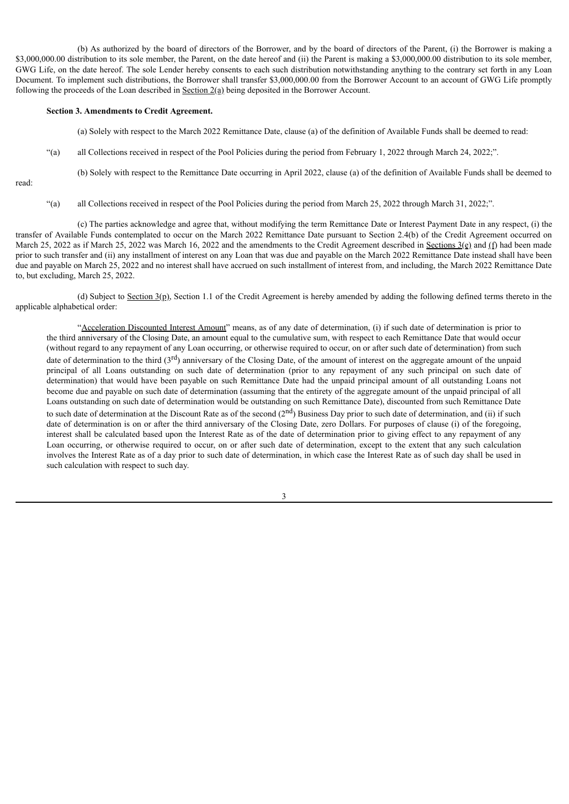(b) As authorized by the board of directors of the Borrower, and by the board of directors of the Parent, (i) the Borrower is making a \$3,000,000.00 distribution to its sole member, the Parent, on the date hereof and (ii) the Parent is making a \$3,000,000,00 distribution to its sole member. GWG Life, on the date hereof. The sole Lender hereby consents to each such distribution notwithstanding anything to the contrary set forth in any Loan Document. To implement such distributions, the Borrower shall transfer \$3,000,000.00 from the Borrower Account to an account of GWG Life promptly following the proceeds of the Loan described in  $Section 2(a)$  being deposited in the Borrower Account.</u>

#### **Section 3. Amendments to Credit Agreement.**

(a) Solely with respect to the March 2022 Remittance Date, clause (a) of the definition of Available Funds shall be deemed to read:

(b) Solely with respect to the Remittance Date occurring in April 2022, clause (a) of the definition of Available Funds shall be deemed to

"(a) all Collections received in respect of the Pool Policies during the period from February 1, 2022 through March 24, 2022;".

read:

"(a) all Collections received in respect of the Pool Policies during the period from March 25, 2022 through March 31, 2022;".

(c) The parties acknowledge and agree that, without modifying the term Remittance Date or Interest Payment Date in any respect, (i) the transfer of Available Funds contemplated to occur on the March 2022 Remittance Date pursuant to Section 2.4(b) of the Credit Agreement occurred on March 25, 2022 as if March 25, 2022 was March 16, 2022 and the amendments to the Credit Agreement described in Sections  $3(e)$  and (f) had been made prior to such transfer and (ii) any installment of interest on any Loan that was due and payable on the March 2022 Remittance Date instead shall have been due and payable on March 25, 2022 and no interest shall have accrued on such installment of interest from, and including, the March 2022 Remittance Date to, but excluding, March 25, 2022.

(d) Subject to Section  $3(p)$ , Section 1.1 of the Credit Agreement is hereby amended by adding the following defined terms thereto in the applicable alphabetical order:

"Acceleration Discounted Interest Amount" means, as of any date of determination, (i) if such date of determination is prior to the third anniversary of the Closing Date, an amount equal to the cumulative sum, with respect to each Remittance Date that would occur (without regard to any repayment of any Loan occurring, or otherwise required to occur, on or after such date of determination) from such date of determination to the third  $(3<sup>rd</sup>)$  anniversary of the Closing Date, of the amount of interest on the aggregate amount of the unpaid principal of all Loans outstanding on such date of determination (prior to any repayment of any such principal on such date of determination) that would have been payable on such Remittance Date had the unpaid principal amount of all outstanding Loans not become due and payable on such date of determination (assuming that the entirety of the aggregate amount of the unpaid principal of all Loans outstanding on such date of determination would be outstanding on such Remittance Date), discounted from such Remittance Date to such date of determination at the Discount Rate as of the second  $(2<sup>nd</sup>)$  Business Day prior to such date of determination, and (ii) if such date of determination is on or after the third anniversary of the Closing Date, zero Dollars. For purposes of clause (i) of the foregoing, interest shall be calculated based upon the Interest Rate as of the date of determination prior to giving effect to any repayment of any Loan occurring, or otherwise required to occur, on or after such date of determination, except to the extent that any such calculation involves the Interest Rate as of a day prior to such date of determination, in which case the Interest Rate as of such day shall be used in such calculation with respect to such day.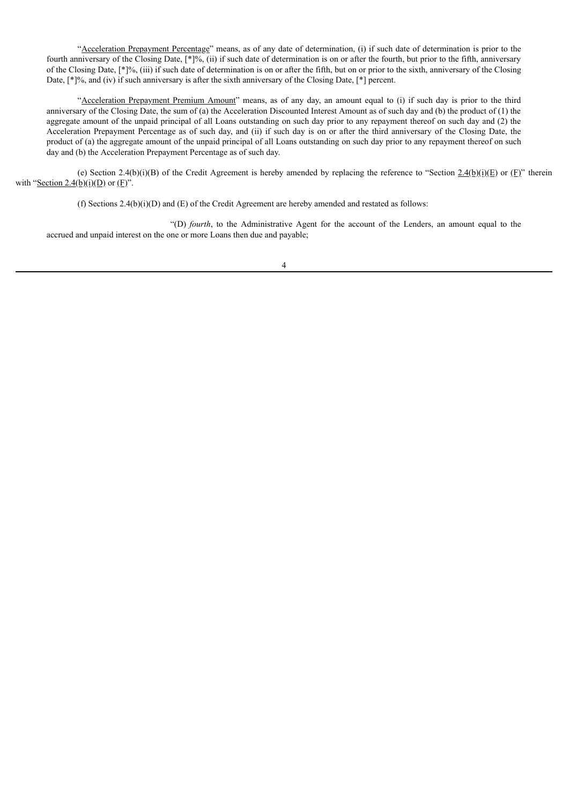"Acceleration Prepayment Percentage" means, as of any date of determination, (i) if such date of determination is prior to the fourth anniversary of the Closing Date, [\*]%, (ii) if such date of determination is on or after the fourth, but prior to the fifth, anniversary of the Closing Date, [\*]%, (iii) if such date of determination is on or after the fifth, but on or prior to the sixth, anniversary of the Closing Date, [\*]%, and (iv) if such anniversary is after the sixth anniversary of the Closing Date, [\*] percent.

"Acceleration Prepayment Premium Amount" means, as of any day, an amount equal to (i) if such day is prior to the third anniversary of the Closing Date, the sum of (a) the Acceleration Discounted Interest Amount as of such day and (b) the product of (1) the aggregate amount of the unpaid principal of all Loans outstanding on such day prior to any repayment thereof on such day and (2) the Acceleration Prepayment Percentage as of such day, and (ii) if such day is on or after the third anniversary of the Closing Date, the product of (a) the aggregate amount of the unpaid principal of all Loans outstanding on such day prior to any repayment thereof on such day and (b) the Acceleration Prepayment Percentage as of such day.

(e) Section 2.4(b)(i)(B) of the Credit Agreement is hereby amended by replacing the reference to "Section  $2.4(b)(i)(E)$  or (F)" therein with "Section 2.4(b)(i)(D) or  $(E)$ ".

(f) Sections 2.4(b)(i)(D) and (E) of the Credit Agreement are hereby amended and restated as follows:

"(D) *fourth*, to the Administrative Agent for the account of the Lenders, an amount equal to the accrued and unpaid interest on the one or more Loans then due and payable;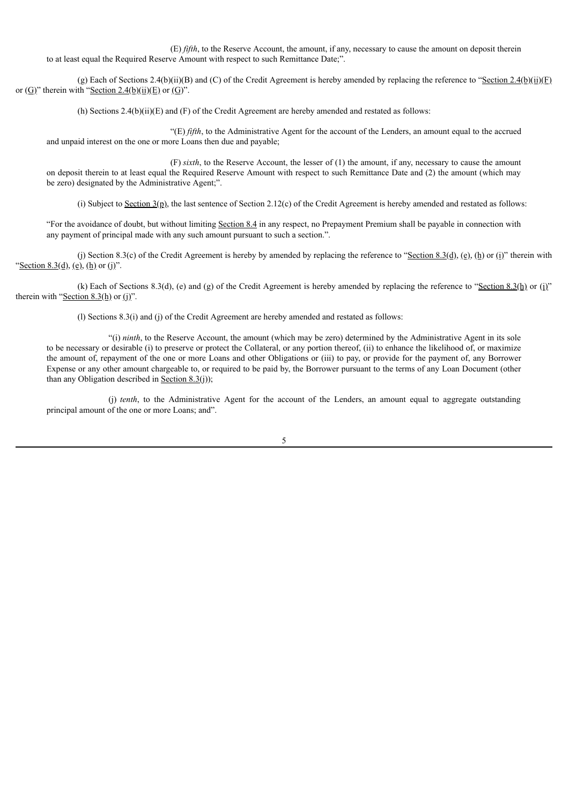(E) *fifth*, to the Reserve Account, the amount, if any, necessary to cause the amount on deposit therein to at least equal the Required Reserve Amount with respect to such Remittance Date;".

(g) Each of Sections 2.4(b)(ii)(B) and (C) of the Credit Agreement is hereby amended by replacing the reference to "Section 2.4(b)(ii)(F) or  $(\underline{G})$ " therein with "Section 2.4(b)(ii)(E) or  $(\underline{G})$ ".

(h) Sections 2.4(b)(ii)(E) and (F) of the Credit Agreement are hereby amended and restated as follows:

"(E) *fifth*, to the Administrative Agent for the account of the Lenders, an amount equal to the accrued and unpaid interest on the one or more Loans then due and payable;

(F) *sixth*, to the Reserve Account, the lesser of (1) the amount, if any, necessary to cause the amount on deposit therein to at least equal the Required Reserve Amount with respect to such Remittance Date and (2) the amount (which may be zero) designated by the Administrative Agent;".

(i) Subject to Section  $3(p)$ , the last sentence of Section 2.12(c) of the Credit Agreement is hereby amended and restated as follows:

"For the avoidance of doubt, but without limiting Section 8.4 in any respect, no Prepayment Premium shall be payable in connection with any payment of principal made with any such amount pursuant to such a section.".

(j) Section 8.3(c) of the Credit Agreement is hereby by amended by replacing the reference to "Section 8.3(d), (e), (h) or (i)" therein with "Section 8.3(d), (e), (h) or (j)".

(k) Each of Sections 8.3(d), (e) and (g) of the Credit Agreement is hereby amended by replacing the reference to "Section 8.3(h) or (i)" therein with "Section  $8.3(h)$  or (j)".

(l) Sections 8.3(i) and (j) of the Credit Agreement are hereby amended and restated as follows:

"(i) *ninth*, to the Reserve Account, the amount (which may be zero) determined by the Administrative Agent in its sole to be necessary or desirable (i) to preserve or protect the Collateral, or any portion thereof, (ii) to enhance the likelihood of, or maximize the amount of, repayment of the one or more Loans and other Obligations or (iii) to pay, or provide for the payment of, any Borrower Expense or any other amount chargeable to, or required to be paid by, the Borrower pursuant to the terms of any Loan Document (other than any Obligation described in Section  $8.3(i)$ ;

(j) *tenth*, to the Administrative Agent for the account of the Lenders, an amount equal to aggregate outstanding principal amount of the one or more Loans; and".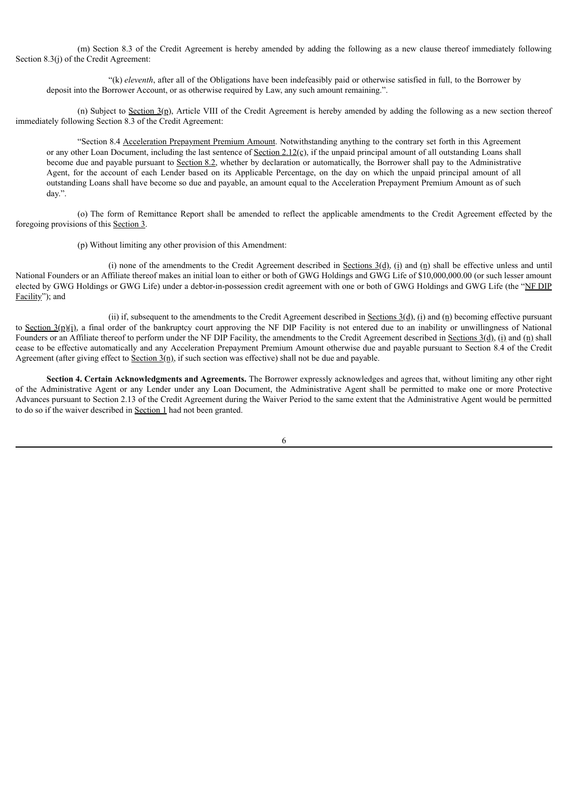(m) Section 8.3 of the Credit Agreement is hereby amended by adding the following as a new clause thereof immediately following Section 8.3(j) of the Credit Agreement:

"(k) *eleventh*, after all of the Obligations have been indefeasibly paid or otherwise satisfied in full, to the Borrower by deposit into the Borrower Account, or as otherwise required by Law, any such amount remaining.".

(n) Subject to Section  $3(p)$ , Article VIII of the Credit Agreement is hereby amended by adding the following as a new section thereof immediately following Section 8.3 of the Credit Agreement:

"Section 8.4 Acceleration Prepayment Premium Amount. Notwithstanding anything to the contrary set forth in this Agreement or any other Loan Document, including the last sentence of Section 2.12(c), if the unpaid principal amount of all outstanding Loans shall become due and payable pursuant to Section 8.2, whether by declaration or automatically, the Borrower shall pay to the Administrative Agent, for the account of each Lender based on its Applicable Percentage, on the day on which the unpaid principal amount of all outstanding Loans shall have become so due and payable, an amount equal to the Acceleration Prepayment Premium Amount as of such day.".

(o) The form of Remittance Report shall be amended to reflect the applicable amendments to the Credit Agreement effected by the foregoing provisions of this Section 3.

(p) Without limiting any other provision of this Amendment:

(i) none of the amendments to the Credit Agreement described in Sections  $3(d)$ , (i) and (n) shall be effective unless and until National Founders or an Affiliate thereof makes an initial loan to either or both of GWG Holdings and GWG Life of \$10,000,000.00 (or such lesser amount elected by GWG Holdings or GWG Life) under a debtor-in-possession credit agreement with one or both of GWG Holdings and GWG Life (the "NF DIP Facility"); and

(ii) if, subsequent to the amendments to the Credit Agreement described in Sections  $3(d)$ , (i) and (n) becoming effective pursuant to Section  $3(p)(i)$ , a final order of the bankruptcy court approving the NF DIP Facility is not entered due to an inability or unwillingness of National Founders or an Affiliate thereof to perform under the NF DIP Facility, the amendments to the Credit Agreement described in Sections 3(d), (i) and (n) shall cease to be effective automatically and any Acceleration Prepayment Premium Amount otherwise due and payable pursuant to Section 8.4 of the Credit Agreement (after giving effect to Section 3(n), if such section was effective) shall not be due and payable.

**Section 4. Certain Acknowledgments and Agreements.** The Borrower expressly acknowledges and agrees that, without limiting any other right of the Administrative Agent or any Lender under any Loan Document, the Administrative Agent shall be permitted to make one or more Protective Advances pursuant to Section 2.13 of the Credit Agreement during the Waiver Period to the same extent that the Administrative Agent would be permitted to do so if the waiver described in Section 1 had not been granted.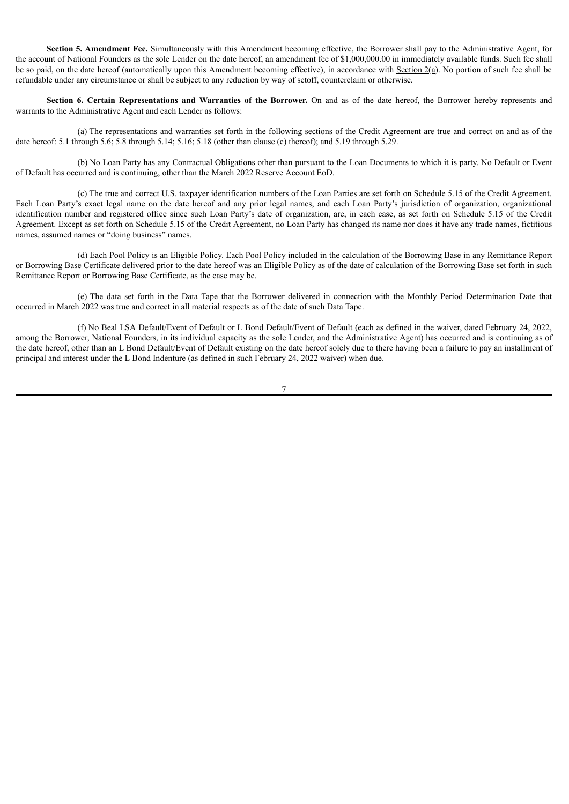**Section 5. Amendment Fee.** Simultaneously with this Amendment becoming effective, the Borrower shall pay to the Administrative Agent, for the account of National Founders as the sole Lender on the date hereof, an amendment fee of \$1,000,000.00 in immediately available funds. Such fee shall be so paid, on the date hereof (automatically upon this Amendment becoming effective), in accordance with Section 2(a). No portion of such fee shall be refundable under any circumstance or shall be subject to any reduction by way of setoff, counterclaim or otherwise.

**Section 6. Certain Representations and Warranties of the Borrower.** On and as of the date hereof, the Borrower hereby represents and warrants to the Administrative Agent and each Lender as follows:

(a) The representations and warranties set forth in the following sections of the Credit Agreement are true and correct on and as of the date hereof: 5.1 through 5.6; 5.8 through 5.14; 5.16; 5.18 (other than clause (c) thereof); and 5.19 through 5.29.

(b) No Loan Party has any Contractual Obligations other than pursuant to the Loan Documents to which it is party. No Default or Event of Default has occurred and is continuing, other than the March 2022 Reserve Account EoD.

(c) The true and correct U.S. taxpayer identification numbers of the Loan Parties are set forth on Schedule 5.15 of the Credit Agreement. Each Loan Party's exact legal name on the date hereof and any prior legal names, and each Loan Party's jurisdiction of organization, organizational identification number and registered office since such Loan Party's date of organization, are, in each case, as set forth on Schedule 5.15 of the Credit Agreement. Except as set forth on Schedule 5.15 of the Credit Agreement, no Loan Party has changed its name nor does it have any trade names, fictitious names, assumed names or "doing business" names.

(d) Each Pool Policy is an Eligible Policy. Each Pool Policy included in the calculation of the Borrowing Base in any Remittance Report or Borrowing Base Certificate delivered prior to the date hereof was an Eligible Policy as of the date of calculation of the Borrowing Base set forth in such Remittance Report or Borrowing Base Certificate, as the case may be.

(e) The data set forth in the Data Tape that the Borrower delivered in connection with the Monthly Period Determination Date that occurred in March 2022 was true and correct in all material respects as of the date of such Data Tape.

(f) No Beal LSA Default/Event of Default or L Bond Default/Event of Default (each as defined in the waiver, dated February 24, 2022, among the Borrower, National Founders, in its individual capacity as the sole Lender, and the Administrative Agent) has occurred and is continuing as of the date hereof, other than an L Bond Default/Event of Default existing on the date hereof solely due to there having been a failure to pay an installment of principal and interest under the L Bond Indenture (as defined in such February 24, 2022 waiver) when due.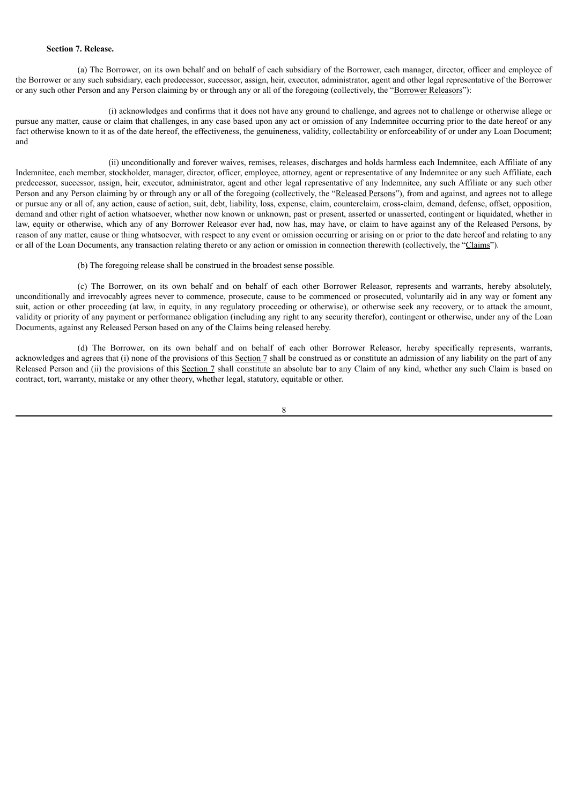## **Section 7. Release.**

(a) The Borrower, on its own behalf and on behalf of each subsidiary of the Borrower, each manager, director, officer and employee of the Borrower or any such subsidiary, each predecessor, successor, assign, heir, executor, administrator, agent and other legal representative of the Borrower or any such other Person and any Person claiming by or through any or all of the foregoing (collectively, the "Borrower Releasors"):

(i) acknowledges and confirms that it does not have any ground to challenge, and agrees not to challenge or otherwise allege or pursue any matter, cause or claim that challenges, in any case based upon any act or omission of any Indemnitee occurring prior to the date hereof or any fact otherwise known to it as of the date hereof, the effectiveness, the genuineness, validity, collectability or enforceability of or under any Loan Document; and

(ii) unconditionally and forever waives, remises, releases, discharges and holds harmless each Indemnitee, each Affiliate of any Indemnitee, each member, stockholder, manager, director, officer, employee, attorney, agent or representative of any Indemnitee or any such Affiliate, each predecessor, successor, assign, heir, executor, administrator, agent and other legal representative of any Indemnitee, any such Affiliate or any such other Person and any Person claiming by or through any or all of the foregoing (collectively, the "Released Persons"), from and against, and agrees not to allege or pursue any or all of, any action, cause of action, suit, debt, liability, loss, expense, claim, counterclaim, cross-claim, demand, defense, offset, opposition, demand and other right of action whatsoever, whether now known or unknown, past or present, asserted or unasserted, contingent or liquidated, whether in law, equity or otherwise, which any of any Borrower Releasor ever had, now has, may have, or claim to have against any of the Released Persons, by reason of any matter, cause or thing whatsoever, with respect to any event or omission occurring or arising on or prior to the date hereof and relating to any or all of the Loan Documents, any transaction relating thereto or any action or omission in connection therewith (collectively, the "Claims").

(b) The foregoing release shall be construed in the broadest sense possible.

(c) The Borrower, on its own behalf and on behalf of each other Borrower Releasor, represents and warrants, hereby absolutely, unconditionally and irrevocably agrees never to commence, prosecute, cause to be commenced or prosecuted, voluntarily aid in any way or foment any suit, action or other proceeding (at law, in equity, in any regulatory proceeding or otherwise), or otherwise seek any recovery, or to attack the amount, validity or priority of any payment or performance obligation (including any right to any security therefor), contingent or otherwise, under any of the Loan Documents, against any Released Person based on any of the Claims being released hereby.

(d) The Borrower, on its own behalf and on behalf of each other Borrower Releasor, hereby specifically represents, warrants, acknowledges and agrees that (i) none of the provisions of this Section 7 shall be constructed as or constitute an admission of any liability on the part of any Released Person and (ii) the provisions of this Section 7 shall constitute an absolute bar to any Claim of any kind, whether any such Claim is based on contract, tort, warranty, mistake or any other theory, whether legal, statutory, equitable or other.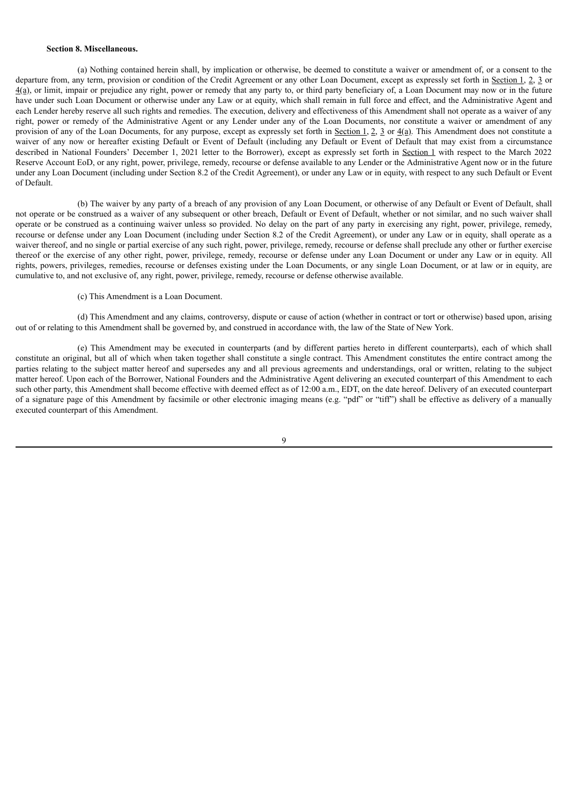#### **Section 8. Miscellaneous.**

(a) Nothing contained herein shall, by implication or otherwise, be deemed to constitute a waiver or amendment of, or a consent to the departure from, any term, provision or condition of the Credit Agreement or any other Loan Document, except as expressly set forth in Section 1, 2, 3 or 4(a), or limit, impair or prejudice any right, power or remedy that any party to, or third party beneficiary of, a Loan Document may now or in the future have under such Loan Document or otherwise under any Law or at equity, which shall remain in full force and effect, and the Administrative Agent and each Lender hereby reserve all such rights and remedies. The execution, delivery and effectiveness of this Amendment shall not operate as a waiver of any right, power or remedy of the Administrative Agent or any Lender under any of the Loan Documents, nor constitute a waiver or amendment of any provision of any of the Loan Documents, for any purpose, except as expressly set forth in Section 1, 2, 3 or 4(a). This Amendment does not constitute a waiver of any now or hereafter existing Default or Event of Default (including any Default or Event of Default that may exist from a circumstance described in National Founders' December 1, 2021 letter to the Borrower), except as expressly set forth in Section 1 with respect to the March 2022 Reserve Account EoD, or any right, power, privilege, remedy, recourse or defense available to any Lender or the Administrative Agent now or in the future under any Loan Document (including under Section 8.2 of the Credit Agreement), or under any Law or in equity, with respect to any such Default or Event of Default.

(b) The waiver by any party of a breach of any provision of any Loan Document, or otherwise of any Default or Event of Default, shall not operate or be construed as a waiver of any subsequent or other breach, Default or Event of Default, whether or not similar, and no such waiver shall operate or be construed as a continuing waiver unless so provided. No delay on the part of any party in exercising any right, power, privilege, remedy, recourse or defense under any Loan Document (including under Section 8.2 of the Credit Agreement), or under any Law or in equity, shall operate as a waiver thereof, and no single or partial exercise of any such right, power, privilege, remedy, recourse or defense shall preclude any other or further exercise thereof or the exercise of any other right, power, privilege, remedy, recourse or defense under any Loan Document or under any Law or in equity. All rights, powers, privileges, remedies, recourse or defenses existing under the Loan Documents, or any single Loan Document, or at law or in equity, are cumulative to, and not exclusive of, any right, power, privilege, remedy, recourse or defense otherwise available.

### (c) This Amendment is a Loan Document.

(d) This Amendment and any claims, controversy, dispute or cause of action (whether in contract or tort or otherwise) based upon, arising out of or relating to this Amendment shall be governed by, and construed in accordance with, the law of the State of New York.

(e) This Amendment may be executed in counterparts (and by different parties hereto in different counterparts), each of which shall constitute an original, but all of which when taken together shall constitute a single contract. This Amendment constitutes the entire contract among the parties relating to the subject matter hereof and supersedes any and all previous agreements and understandings, oral or written, relating to the subject matter hereof. Upon each of the Borrower, National Founders and the Administrative Agent delivering an executed counterpart of this Amendment to each such other party, this Amendment shall become effective with deemed effect as of 12:00 a.m., EDT, on the date hereof. Delivery of an executed counterpart of a signature page of this Amendment by facsimile or other electronic imaging means (e.g. "pdf" or "tiff") shall be effective as delivery of a manually executed counterpart of this Amendment.

 $\overline{Q}$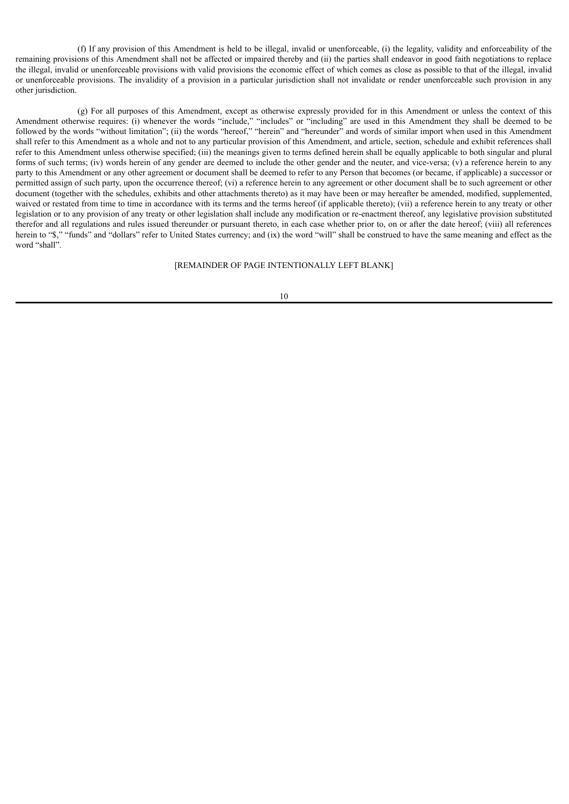(f) If any provision of this Amendment is held to be illegal, invalid or unenforceable, (i) the legality, validity and enforceability of the remaining provisions of this Amendment shall not be affected or impaired thereby and (ii) the parties shall endeavor in good faith negotiations to replace the illegal, invalid or unenforceable provisions with valid provisions the economic effect of which comes as close as possible to that of the illegal, invalid or unenforceable provisions. The invalidity of a provision in a particular jurisdiction shall not invalidate or render unenforceable such provision in any other jurisdiction.

(g) For all purposes of this Amendment, except as otherwise expressly provided for in this Amendment or unless the context of this Amendment otherwise requires: (i) whenever the words "include," "includes" or "including" are used in this Amendment they shall be deemed to be followed by the words "without limitation"; (ii) the words "hereof," "herein" and "hereunder" and words of similar import when used in this Amendment shall refer to this Amendment as a whole and not to any particular provision of this Amendment, and article, section, schedule and exhibit references shall refer to this Amendment unless otherwise specified; (iii) the meanings given to terms defined herein shall be equally applicable to both singular and plural forms of such terms; (iv) words herein of any gender are deemed to include the other gender and the neuter, and vice-versa; (v) a reference herein to any party to this Amendment or any other agreement or document shall be deemed to refer to any Person that becomes (or became, if applicable) a successor or permitted assign of such party, upon the occurrence thereof; (vi) a reference herein to any agreement or other document shall be to such agreement or other document (together with the schedules, exhibits and other attachments thereto) as it may have been or may hereafter be amended, modified, supplemented, waived or restated from time to time in accordance with its terms and the terms hereof (if applicable thereto); (vii) a reference herein to any treaty or other legislation or to any provision of any treaty or other legislation shall include any modification or re-enactment thereof, any legislative provision substituted therefor and all regulations and rules issued thereunder or pursuant thereto, in each case whether prior to, on or after the date hereof; (viii) all references herein to "\$," "funds" and "dollars" refer to United States currency; and (ix) the word "will" shall be construed to have the same meaning and effect as the word "shall".

### [REMAINDER OF PAGE INTENTIONALLY LEFT BLANK]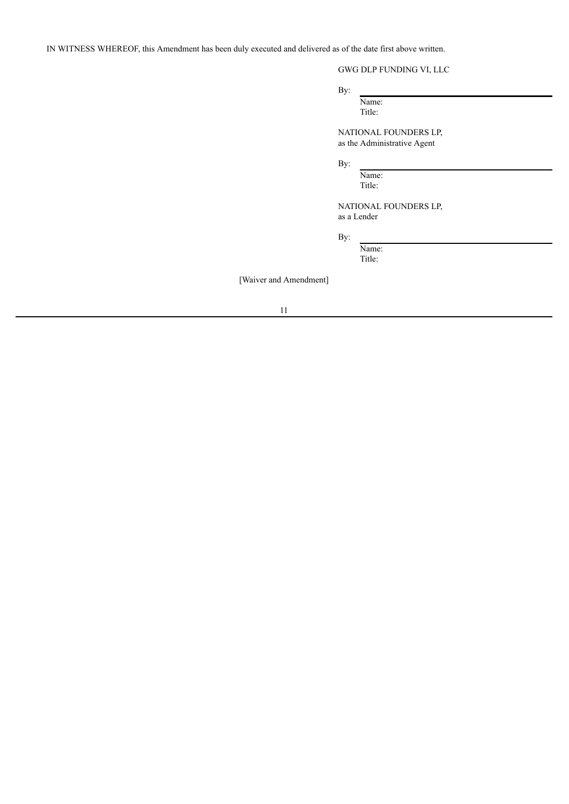IN WITNESS WHEREOF, this Amendment has been duly executed and delivered as of the date first above written.

# GWG DLP FUNDING VI, LLC

By:

Name: Title:

NATIONAL FOUNDERS LP, as the Administrative Agent

By:

Name: Title:

NATIONAL FOUNDERS LP, as a Lender

By:

Name: Title:

[Waiver and Amendment]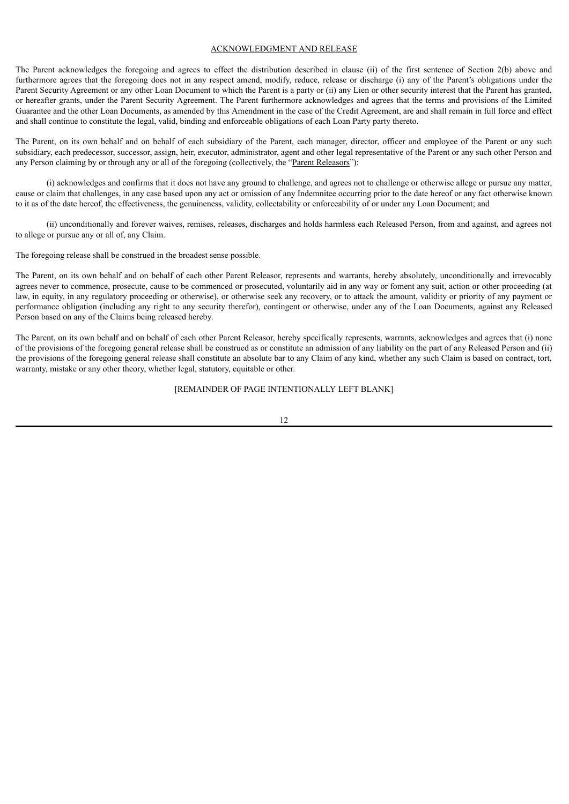## ACKNOWLEDGMENT AND RELEASE

The Parent acknowledges the foregoing and agrees to effect the distribution described in clause (ii) of the first sentence of Section 2(b) above and furthermore agrees that the foregoing does not in any respect amend, modify, reduce, release or discharge (i) any of the Parent's obligations under the Parent Security Agreement or any other Loan Document to which the Parent is a party or (ii) any Lien or other security interest that the Parent has granted, or hereafter grants, under the Parent Security Agreement. The Parent furthermore acknowledges and agrees that the terms and provisions of the Limited Guarantee and the other Loan Documents, as amended by this Amendment in the case of the Credit Agreement, are and shall remain in full force and effect and shall continue to constitute the legal, valid, binding and enforceable obligations of each Loan Party party thereto.

The Parent, on its own behalf and on behalf of each subsidiary of the Parent, each manager, director, officer and employee of the Parent or any such subsidiary, each predecessor, successor, assign, heir, executor, administrator, agent and other legal representative of the Parent or any such other Person and any Person claiming by or through any or all of the foregoing (collectively, the "Parent Releasors"):

(i) acknowledges and confirms that it does not have any ground to challenge, and agrees not to challenge or otherwise allege or pursue any matter, cause or claim that challenges, in any case based upon any act or omission of any Indemnitee occurring prior to the date hereof or any fact otherwise known to it as of the date hereof, the effectiveness, the genuineness, validity, collectability or enforceability of or under any Loan Document; and

(ii) unconditionally and forever waives, remises, releases, discharges and holds harmless each Released Person, from and against, and agrees not to allege or pursue any or all of, any Claim.

The foregoing release shall be construed in the broadest sense possible.

The Parent, on its own behalf and on behalf of each other Parent Releasor, represents and warrants, hereby absolutely, unconditionally and irrevocably agrees never to commence, prosecute, cause to be commenced or prosecuted, voluntarily aid in any way or foment any suit, action or other proceeding (at law, in equity, in any regulatory proceeding or otherwise), or otherwise seek any recovery, or to attack the amount, validity or priority of any payment or performance obligation (including any right to any security therefor), contingent or otherwise, under any of the Loan Documents, against any Released Person based on any of the Claims being released hereby.

The Parent, on its own behalf and on behalf of each other Parent Releasor, hereby specifically represents, warrants, acknowledges and agrees that (i) none of the provisions of the foregoing general release shall be construed as or constitute an admission of any liability on the part of any Released Person and (ii) the provisions of the foregoing general release shall constitute an absolute bar to any Claim of any kind, whether any such Claim is based on contract, tort, warranty, mistake or any other theory, whether legal, statutory, equitable or other.

## [REMAINDER OF PAGE INTENTIONALLY LEFT BLANK]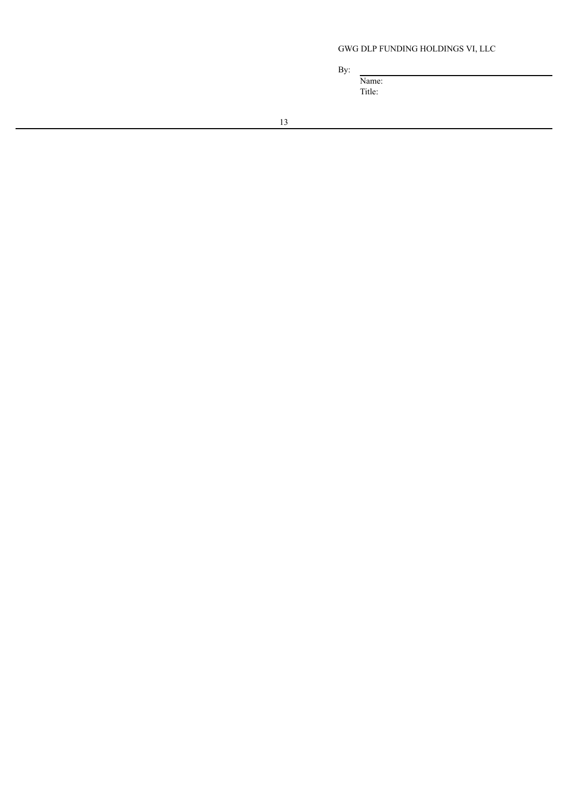# GWG DLP FUNDING HOLDINGS VI, LLC

By:

Name: Title: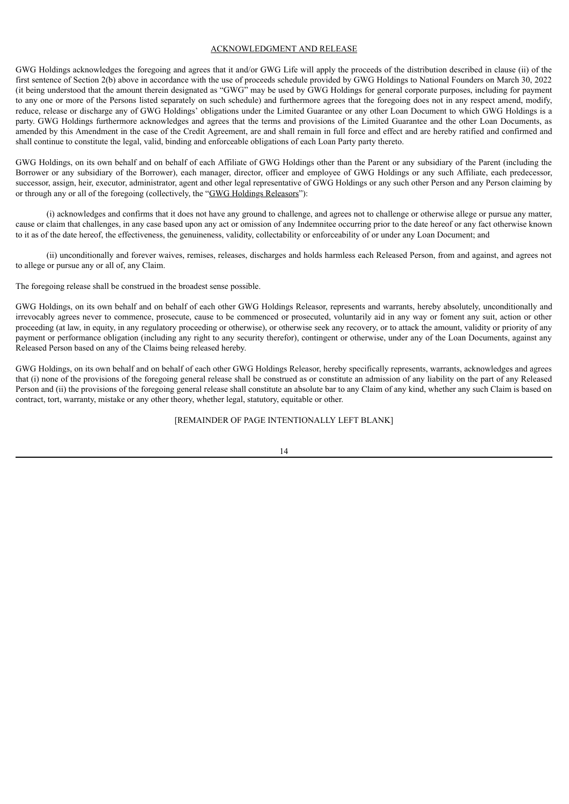### ACKNOWLEDGMENT AND RELEASE

GWG Holdings acknowledges the foregoing and agrees that it and/or GWG Life will apply the proceeds of the distribution described in clause (ii) of the first sentence of Section 2(b) above in accordance with the use of proceeds schedule provided by GWG Holdings to National Founders on March 30, 2022 (it being understood that the amount therein designated as "GWG" may be used by GWG Holdings for general corporate purposes, including for payment to any one or more of the Persons listed separately on such schedule) and furthermore agrees that the foregoing does not in any respect amend, modify, reduce, release or discharge any of GWG Holdings' obligations under the Limited Guarantee or any other Loan Document to which GWG Holdings is a party. GWG Holdings furthermore acknowledges and agrees that the terms and provisions of the Limited Guarantee and the other Loan Documents, as amended by this Amendment in the case of the Credit Agreement, are and shall remain in full force and effect and are hereby ratified and confirmed and shall continue to constitute the legal, valid, binding and enforceable obligations of each Loan Party party thereto.

GWG Holdings, on its own behalf and on behalf of each Affiliate of GWG Holdings other than the Parent or any subsidiary of the Parent (including the Borrower or any subsidiary of the Borrower), each manager, director, officer and employee of GWG Holdings or any such Affiliate, each predecessor, successor, assign, heir, executor, administrator, agent and other legal representative of GWG Holdings or any such other Person and any Person claiming by or through any or all of the foregoing (collectively, the "GWG Holdings Releasors"):

(i) acknowledges and confirms that it does not have any ground to challenge, and agrees not to challenge or otherwise allege or pursue any matter, cause or claim that challenges, in any case based upon any act or omission of any Indemnitee occurring prior to the date hereof or any fact otherwise known to it as of the date hereof, the effectiveness, the genuineness, validity, collectability or enforceability of or under any Loan Document; and

(ii) unconditionally and forever waives, remises, releases, discharges and holds harmless each Released Person, from and against, and agrees not to allege or pursue any or all of, any Claim.

The foregoing release shall be construed in the broadest sense possible.

GWG Holdings, on its own behalf and on behalf of each other GWG Holdings Releasor, represents and warrants, hereby absolutely, unconditionally and irrevocably agrees never to commence, prosecute, cause to be commenced or prosecuted, voluntarily aid in any way or foment any suit, action or other proceeding (at law, in equity, in any regulatory proceeding or otherwise), or otherwise seek any recovery, or to attack the amount, validity or priority of any payment or performance obligation (including any right to any security therefor), contingent or otherwise, under any of the Loan Documents, against any Released Person based on any of the Claims being released hereby.

GWG Holdings, on its own behalf and on behalf of each other GWG Holdings Releasor, hereby specifically represents, warrants, acknowledges and agrees that (i) none of the provisions of the foregoing general release shall be construed as or constitute an admission of any liability on the part of any Released Person and (ii) the provisions of the foregoing general release shall constitute an absolute bar to any Claim of any kind, whether any such Claim is based on contract, tort, warranty, mistake or any other theory, whether legal, statutory, equitable or other.

[REMAINDER OF PAGE INTENTIONALLY LEFT BLANK]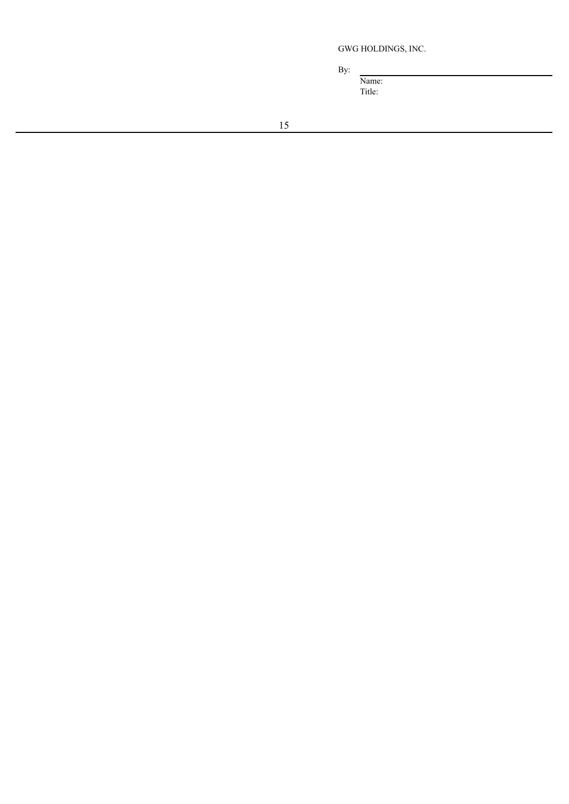GWG HOLDINGS, INC.

By:

Name: Title: